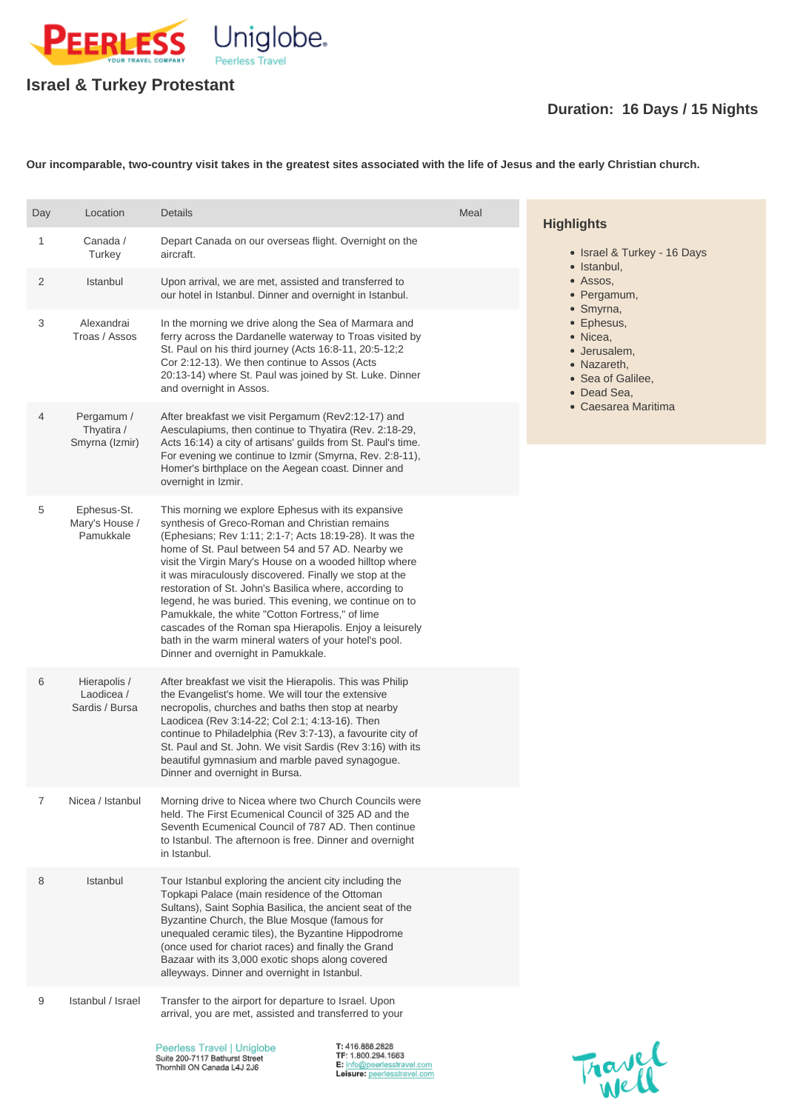

## **Israel & Turkey Protestant**

## **Duration: 16 Days / 15 Nights**

**Our incomparable, two-country visit takes in the greatest sites associated with the life of Jesus and the early Christian church.**

| Day            | Location                                     | <b>Details</b>                                                                                                                                                                                                                                                                                                                                                                                                                                                                                                                                                                                                                                                            | Meal | <b>Highlights</b>                                                                                                                                                                                      |
|----------------|----------------------------------------------|---------------------------------------------------------------------------------------------------------------------------------------------------------------------------------------------------------------------------------------------------------------------------------------------------------------------------------------------------------------------------------------------------------------------------------------------------------------------------------------------------------------------------------------------------------------------------------------------------------------------------------------------------------------------------|------|--------------------------------------------------------------------------------------------------------------------------------------------------------------------------------------------------------|
| $\mathbf{1}$   | Canada /<br>Turkey                           | Depart Canada on our overseas flight. Overnight on the<br>aircraft.                                                                                                                                                                                                                                                                                                                                                                                                                                                                                                                                                                                                       |      | • Israel & Turkey - 16 Days<br>• Istanbul,<br>• Assos,<br>• Pergamum,<br>• Smyrna,<br>• Ephesus,<br>• Nicea,<br>· Jerusalem,<br>• Nazareth,<br>• Sea of Galilee,<br>• Dead Sea,<br>• Caesarea Maritima |
| $\overline{2}$ | Istanbul                                     | Upon arrival, we are met, assisted and transferred to<br>our hotel in Istanbul. Dinner and overnight in Istanbul.                                                                                                                                                                                                                                                                                                                                                                                                                                                                                                                                                         |      |                                                                                                                                                                                                        |
| 3              | Alexandrai<br>Troas / Assos                  | In the morning we drive along the Sea of Marmara and<br>ferry across the Dardanelle waterway to Troas visited by<br>St. Paul on his third journey (Acts 16:8-11, 20:5-12;2<br>Cor 2:12-13). We then continue to Assos (Acts<br>20:13-14) where St. Paul was joined by St. Luke. Dinner<br>and overnight in Assos.                                                                                                                                                                                                                                                                                                                                                         |      |                                                                                                                                                                                                        |
| 4              | Pergamum /<br>Thyatira /<br>Smyrna (Izmir)   | After breakfast we visit Pergamum (Rev2:12-17) and<br>Aesculapiums, then continue to Thyatira (Rev. 2:18-29,<br>Acts 16:14) a city of artisans' guilds from St. Paul's time.<br>For evening we continue to Izmir (Smyrna, Rev. 2:8-11),<br>Homer's birthplace on the Aegean coast. Dinner and<br>overnight in Izmir.                                                                                                                                                                                                                                                                                                                                                      |      |                                                                                                                                                                                                        |
| 5              | Ephesus-St.<br>Mary's House /<br>Pamukkale   | This morning we explore Ephesus with its expansive<br>synthesis of Greco-Roman and Christian remains<br>(Ephesians; Rev 1:11; 2:1-7; Acts 18:19-28). It was the<br>home of St. Paul between 54 and 57 AD. Nearby we<br>visit the Virgin Mary's House on a wooded hilltop where<br>it was miraculously discovered. Finally we stop at the<br>restoration of St. John's Basilica where, according to<br>legend, he was buried. This evening, we continue on to<br>Pamukkale, the white "Cotton Fortress," of lime<br>cascades of the Roman spa Hierapolis. Enjoy a leisurely<br>bath in the warm mineral waters of your hotel's pool.<br>Dinner and overnight in Pamukkale. |      |                                                                                                                                                                                                        |
| 6              | Hierapolis /<br>Laodicea /<br>Sardis / Bursa | After breakfast we visit the Hierapolis. This was Philip<br>the Evangelist's home. We will tour the extensive<br>necropolis, churches and baths then stop at nearby<br>Laodicea (Rev 3:14-22; Col 2:1; 4:13-16). Then<br>continue to Philadelphia (Rev 3:7-13), a favourite city of<br>St. Paul and St. John. We visit Sardis (Rev 3:16) with its<br>beautiful gymnasium and marble paved synagogue.<br>Dinner and overnight in Bursa.                                                                                                                                                                                                                                    |      |                                                                                                                                                                                                        |
| 7              | Nicea / Istanbul                             | Morning drive to Nicea where two Church Councils were<br>held. The First Ecumenical Council of 325 AD and the<br>Seventh Ecumenical Council of 787 AD. Then continue                                                                                                                                                                                                                                                                                                                                                                                                                                                                                                      |      |                                                                                                                                                                                                        |

to Istanbul. The afternoon is free. Dinner and overnight in Istanbul.

8 Istanbul Tour Istanbul exploring the ancient city including the Topkapi Palace (main residence of the Ottoman Sultans), Saint Sophia Basilica, the ancient seat of the Byzantine Church, the Blue Mosque (famous for unequaled ceramic tiles), the Byzantine Hippodrome (once used for chariot races) and finally the Grand Bazaar with its 3,000 exotic shops along covered alleyways. Dinner and overnight in Istanbul.

9 Istanbul / Israel Transfer to the airport for departure to Israel. Upon arrival, you are met, assisted and transferred to your

> Peerless Travel | Uniglobe Suite 200-7117 Bathurst Street Thornhill ON Canada L4J 2J6

T: 416.888.2828 TF: 1.800.294.1663 E: info@peerlesstravel.com Leisure: peerlesstravel.com

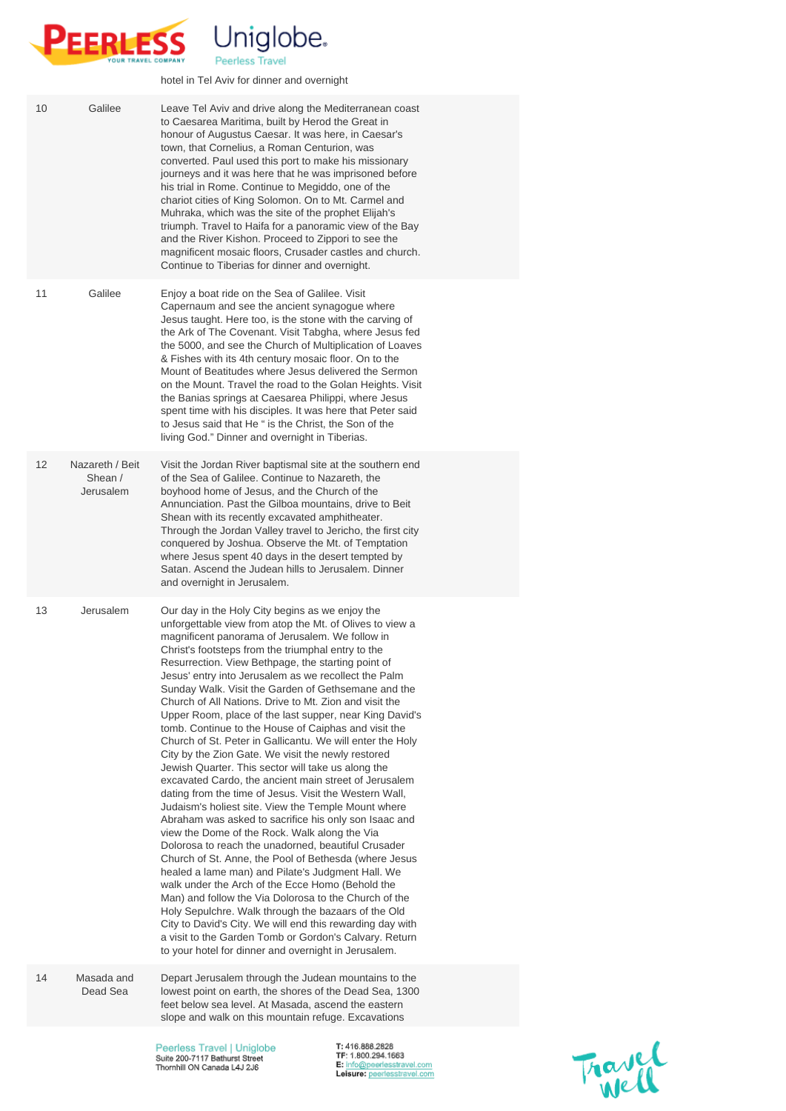

hotel in Tel Aviv for dinner and overnight

| 10 | Galilee                                 | Leave Tel Aviv and drive along the Mediterranean coast<br>to Caesarea Maritima, built by Herod the Great in<br>honour of Augustus Caesar. It was here, in Caesar's<br>town, that Cornelius, a Roman Centurion, was<br>converted. Paul used this port to make his missionary<br>journeys and it was here that he was imprisoned before<br>his trial in Rome. Continue to Megiddo, one of the<br>chariot cities of King Solomon. On to Mt. Carmel and<br>Muhraka, which was the site of the prophet Elijah's<br>triumph. Travel to Haifa for a panoramic view of the Bay<br>and the River Kishon. Proceed to Zippori to see the<br>magnificent mosaic floors, Crusader castles and church.<br>Continue to Tiberias for dinner and overnight.                                                                                                                                                                                                                                                                                          |  |
|----|-----------------------------------------|-------------------------------------------------------------------------------------------------------------------------------------------------------------------------------------------------------------------------------------------------------------------------------------------------------------------------------------------------------------------------------------------------------------------------------------------------------------------------------------------------------------------------------------------------------------------------------------------------------------------------------------------------------------------------------------------------------------------------------------------------------------------------------------------------------------------------------------------------------------------------------------------------------------------------------------------------------------------------------------------------------------------------------------|--|
| 11 | Galilee                                 | Enjoy a boat ride on the Sea of Galilee. Visit<br>Capernaum and see the ancient synagogue where<br>Jesus taught. Here too, is the stone with the carving of<br>the Ark of The Covenant. Visit Tabgha, where Jesus fed<br>the 5000, and see the Church of Multiplication of Loaves<br>& Fishes with its 4th century mosaic floor. On to the<br>Mount of Beatitudes where Jesus delivered the Sermon<br>on the Mount. Travel the road to the Golan Heights. Visit<br>the Banias springs at Caesarea Philippi, where Jesus<br>spent time with his disciples. It was here that Peter said<br>to Jesus said that He " is the Christ, the Son of the<br>living God." Dinner and overnight in Tiberias.                                                                                                                                                                                                                                                                                                                                    |  |
| 12 | Nazareth / Beit<br>Shean /<br>Jerusalem | Visit the Jordan River baptismal site at the southern end<br>of the Sea of Galilee. Continue to Nazareth, the<br>boyhood home of Jesus, and the Church of the<br>Annunciation. Past the Gilboa mountains, drive to Beit<br>Shean with its recently excavated amphitheater.<br>Through the Jordan Valley travel to Jericho, the first city<br>conquered by Joshua. Observe the Mt. of Temptation<br>where Jesus spent 40 days in the desert tempted by<br>Satan. Ascend the Judean hills to Jerusalem. Dinner<br>and overnight in Jerusalem.                                                                                                                                                                                                                                                                                                                                                                                                                                                                                         |  |
| 13 | Jerusalem                               | Our day in the Holy City begins as we enjoy the<br>unforgettable view from atop the Mt. of Olives to view a<br>magnificent panorama of Jerusalem. We follow in<br>Christ's footsteps from the triumphal entry to the<br>Resurrection. View Bethpage, the starting point of<br>Jesus' entry into Jerusalem as we recollect the Palm<br>Sunday Walk. Visit the Garden of Gethsemane and the<br>Church of All Nations. Drive to Mt. Zion and visit the<br>Upper Room, place of the last supper, near King David's<br>tomb. Continue to the House of Caiphas and visit the<br>Church of St. Peter in Gallicantu. We will enter the Holy<br>City by the Zion Gate. We visit the newly restored<br>Jewish Quarter. This sector will take us along the<br>excavated Cardo, the ancient main street of Jerusalem<br>dating from the time of Jesus. Visit the Western Wall,<br>Judaism's holiest site. View the Temple Mount where<br>Abraham was asked to sacrifice his only son Isaac and<br>view the Dome of the Rock. Walk along the Via |  |

Dolorosa to reach the unadorned, beautiful Crusader Church of St. Anne, the Pool of Bethesda (where Jesus healed a lame man) and Pilate's Judgment Hall. We walk under the Arch of the Ecce Homo (Behold the Man) and follow the Via Dolorosa to the Church of the Holy Sepulchre. Walk through the bazaars of the Old City to David's City. We will end this rewarding day with a visit to the Garden Tomb or Gordon's Calvary. Return to your hotel for dinner and overnight in Jerusalem.

14 Masada and Dead Sea Depart Jerusalem through the Judean mountains to the lowest point on earth, the shores of the Dead Sea, 1300 feet below sea level. At Masada, ascend the eastern slope and walk on this mountain refuge. Excavations

> Peerless Travel | Uniglobe Suite 200-7117 Bathurst Street Thornhill ON Canada L4J 2J6

T: 416.888.2828 TF: 1.800.294.1663 E: info@peerlesstravel.com Leisure: peerlesstravel.com